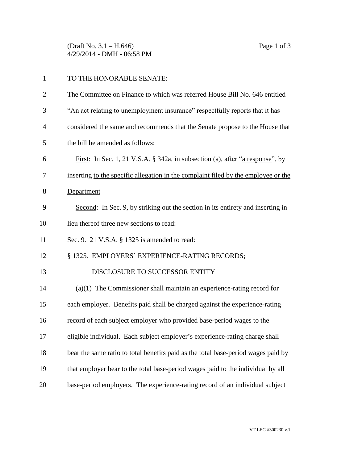(Draft No. 3.1 – H.646) Page 1 of 3 4/29/2014 - DMH - 06:58 PM

| $\mathbf{1}$   | TO THE HONORABLE SENATE:                                                              |
|----------------|---------------------------------------------------------------------------------------|
| $\overline{c}$ | The Committee on Finance to which was referred House Bill No. 646 entitled            |
| 3              | "An act relating to unemployment insurance" respectfully reports that it has          |
| 4              | considered the same and recommends that the Senate propose to the House that          |
| 5              | the bill be amended as follows:                                                       |
| 6              | <u>First</u> : In Sec. 1, 21 V.S.A. § 342a, in subsection (a), after "a response", by |
| 7              | inserting to the specific allegation in the complaint filed by the employee or the    |
| 8              | Department                                                                            |
| 9              | Second: In Sec. 9, by striking out the section in its entirety and inserting in       |
| 10             | lieu thereof three new sections to read:                                              |
| 11             | Sec. 9. 21 V.S.A. § 1325 is amended to read:                                          |
| 12             | § 1325. EMPLOYERS' EXPERIENCE-RATING RECORDS;                                         |
| 13             | DISCLOSURE TO SUCCESSOR ENTITY                                                        |
| 14             | $(a)(1)$ The Commissioner shall maintain an experience-rating record for              |
| 15             | each employer. Benefits paid shall be charged against the experience-rating           |
| 16             | record of each subject employer who provided base-period wages to the                 |
| 17             | eligible individual. Each subject employer's experience-rating charge shall           |
| 18             | bear the same ratio to total benefits paid as the total base-period wages paid by     |
| 19             | that employer bear to the total base-period wages paid to the individual by all       |
| 20             | base-period employers. The experience-rating record of an individual subject          |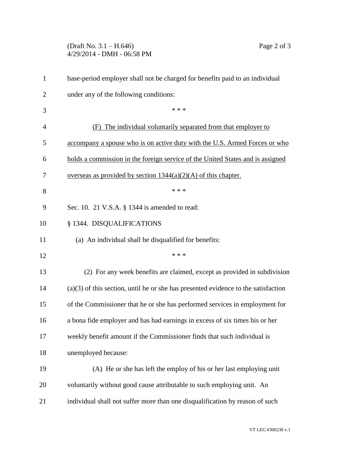## (Draft No. 3.1 – H.646) Page 2 of 3 4/29/2014 - DMH - 06:58 PM

| $\mathbf{1}$   | base-period employer shall not be charged for benefits paid to an individual         |
|----------------|--------------------------------------------------------------------------------------|
| $\overline{c}$ | under any of the following conditions:                                               |
| 3              | * * *                                                                                |
| 4              | The individual voluntarily separated from that employer to<br>(F)                    |
| 5              | accompany a spouse who is on active duty with the U.S. Armed Forces or who           |
| 6              | holds a commission in the foreign service of the United States and is assigned       |
| 7              | overseas as provided by section $1344(a)(2)(A)$ of this chapter.                     |
| 8              | * * *                                                                                |
| 9              | Sec. 10. 21 V.S.A. § 1344 is amended to read:                                        |
| 10             | § 1344. DISQUALIFICATIONS                                                            |
| 11             | (a) An individual shall be disqualified for benefits:                                |
| 12             | * * *                                                                                |
| 13             | (2) For any week benefits are claimed, except as provided in subdivision             |
| 14             | $(a)(3)$ of this section, until he or she has presented evidence to the satisfaction |
| 15             | of the Commissioner that he or she has performed services in employment for          |
| 16             | a bona fide employer and has had earnings in excess of six times his or her          |
| 17             | weekly benefit amount if the Commissioner finds that such individual is              |
| 18             | unemployed because:                                                                  |
| 19             | (A) He or she has left the employ of his or her last employing unit                  |
| 20             | voluntarily without good cause attributable to such employing unit. An               |
| 21             | individual shall not suffer more than one disqualification by reason of such         |
|                |                                                                                      |